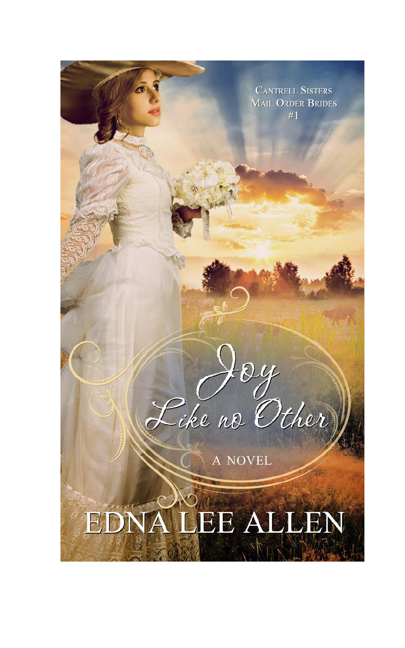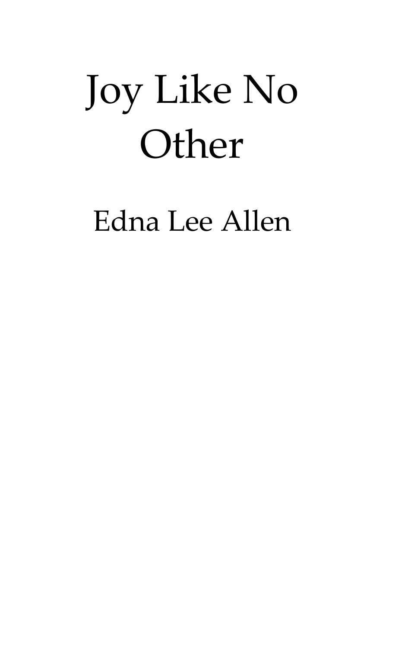# Joy Like No **Other**

### Edna Lee Allen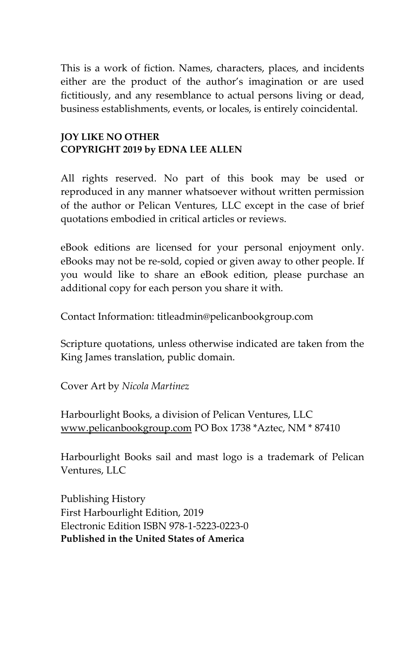This is a work of fiction. Names, characters, places, and incidents either are the product of the author's imagination or are used fictitiously, and any resemblance to actual persons living or dead, business establishments, events, or locales, is entirely coincidental.

#### **JOY LIKE NO OTHER COPYRIGHT 2019 by EDNA LEE ALLEN**

All rights reserved. No part of this book may be used or reproduced in any manner whatsoever without written permission of the author or Pelican Ventures, LLC except in the case of brief quotations embodied in critical articles or reviews.

eBook editions are licensed for your personal enjoyment only. eBooks may not be re-sold, copied or given away to other people. If you would like to share an eBook edition, please purchase an additional copy for each person you share it with.

Contact Information: titleadmin@pelicanbookgroup.com

Scripture quotations, unless otherwise indicated are taken from the King James translation, public domain.

Cover Art by *Nicola Martinez*

Harbourlight Books, a division of Pelican Ventures, LLC [www.pelicanbookgroup.com](http://www.pelicanbookgroup.com/) PO Box 1738 \*Aztec, NM \* 87410

Harbourlight Books sail and mast logo is a trademark of Pelican Ventures, LLC

Publishing History First Harbourlight Edition, 2019 Electronic Edition ISBN 978-1-5223-0223-0 **Published in the United States of America**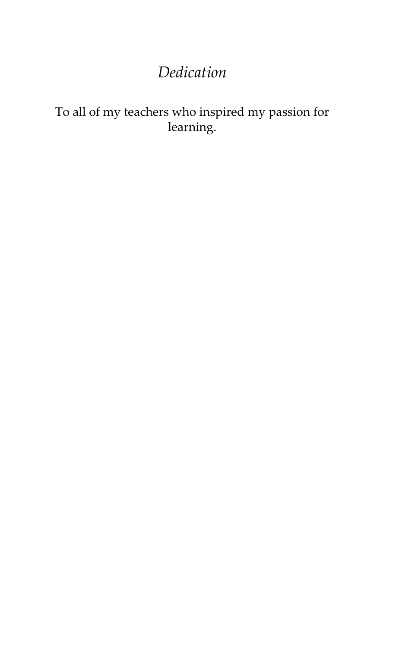### *Dedication*

#### To all of my teachers who inspired my passion for learning.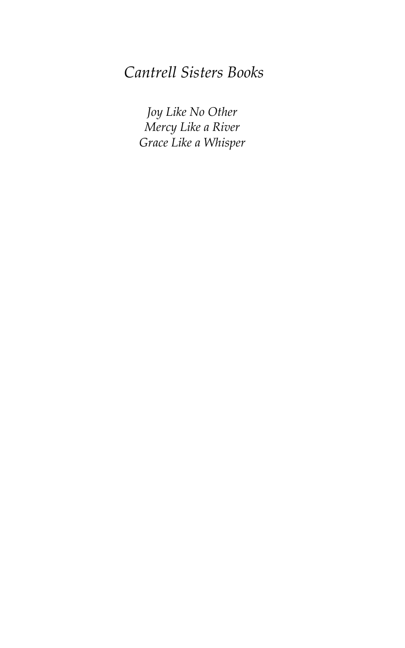#### *Cantrell Sisters Books*

*Joy Like No Other Mercy Like a River Grace Like a Whisper*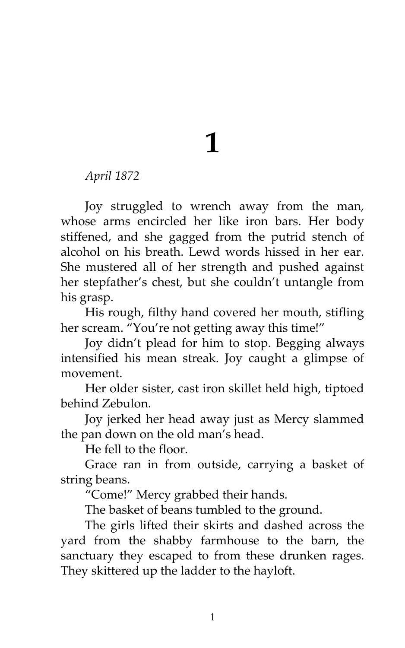## **1**

*April 1872* 

Joy struggled to wrench away from the man, whose arms encircled her like iron bars. Her body stiffened, and she gagged from the putrid stench of alcohol on his breath. Lewd words hissed in her ear. She mustered all of her strength and pushed against her stepfather's chest, but she couldn't untangle from his grasp.

His rough, filthy hand covered her mouth, stifling her scream. "You're not getting away this time!"

Joy didn't plead for him to stop. Begging always intensified his mean streak. Joy caught a glimpse of movement.

Her older sister, cast iron skillet held high, tiptoed behind Zebulon.

Joy jerked her head away just as Mercy slammed the pan down on the old man's head.

He fell to the floor.

Grace ran in from outside, carrying a basket of string beans.

'Come!' Mercy grabbed their hands.

The basket of beans tumbled to the ground.

The girls lifted their skirts and dashed across the yard from the shabby farmhouse to the barn, the sanctuary they escaped to from these drunken rages. They skittered up the ladder to the hayloft.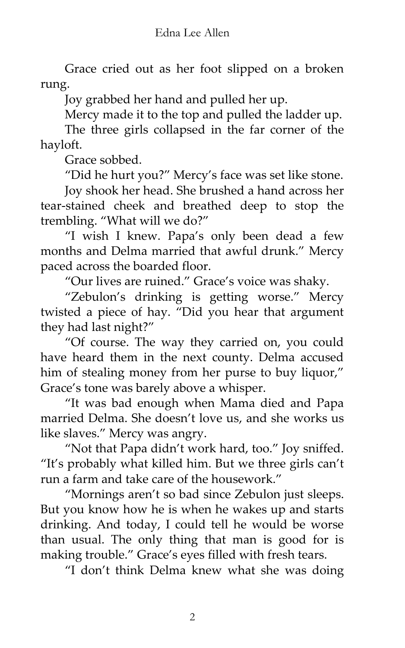Grace cried out as her foot slipped on a broken rung.

Joy grabbed her hand and pulled her up.

Mercy made it to the top and pulled the ladder up.

The three girls collapsed in the far corner of the hayloft.

Grace sobbed.

'Did he hurt you?' Mercy's face was set like stone.

Joy shook her head. She brushed a hand across her tear-stained cheek and breathed deep to stop the trembling. 'What will we do?'

'I wish I knew. Papa's only been dead a few months and Delma married that awful drunk.' Mercy paced across the boarded floor.

'Our lives are ruined.' Grace's voice was shaky.

'Zebulon's drinking is getting worse.' Mercy twisted a piece of hay. 'Did you hear that argument they had last night?'

'Of course. The way they carried on, you could have heard them in the next county. Delma accused him of stealing money from her purse to buy liquor," Grace's tone was barely above a whisper.

'It was bad enough when Mama died and Papa married Delma. She doesn't love us, and she works us like slaves.' Mercy was angry.

'Not that Papa didn't work hard, too.' Joy sniffed. 'It's probably what killed him. But we three girls can't run a farm and take care of the housework.'

'Mornings aren't so bad since Zebulon just sleeps. But you know how he is when he wakes up and starts drinking. And today, I could tell he would be worse than usual. The only thing that man is good for is making trouble." Grace's eyes filled with fresh tears.

'I don't think Delma knew what she was doing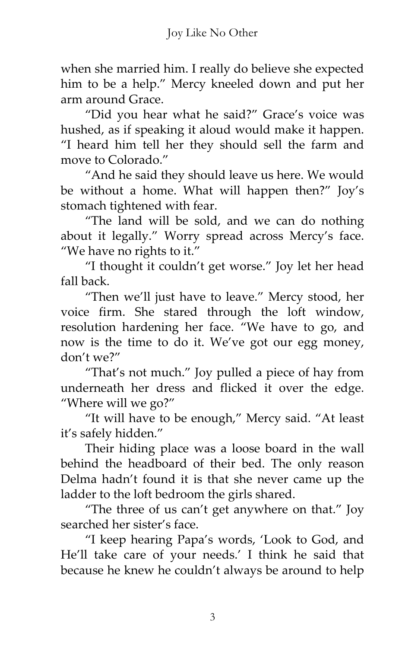when she married him. I really do believe she expected him to be a help.' Mercy kneeled down and put her arm around Grace.

'Did you hear what he said?' Grace's voice was hushed, as if speaking it aloud would make it happen. 'I heard him tell her they should sell the farm and move to Colorado"

'And he said they should leave us here. We would be without a home. What will happen then?' Joy's stomach tightened with fear.

'The land will be sold, and we can do nothing about it legally.' Worry spread across Mercy's face. 'We have no rights to it.'

'I thought it couldn't get worse.' Joy let her head fall back.

'Then we'll just have to leave.' Mercy stood, her voice firm. She stared through the loft window, resolution hardening her face. 'We have to go, and now is the time to do it. We've got our egg money, don't we?'

'That's not much.' Joy pulled a piece of hay from underneath her dress and flicked it over the edge. 'Where will we go?'

'It will have to be enough,' Mercy said. 'At least it's safely hidden.'

Their hiding place was a loose board in the wall behind the headboard of their bed. The only reason Delma hadn't found it is that she never came up the ladder to the loft bedroom the girls shared.

'The three of us can't get anywhere on that.' Joy searched her sister's face.

'I keep hearing Papa's words, 'Look to God, and He'll take care of your needs.' I think he said that because he knew he couldn't always be around to help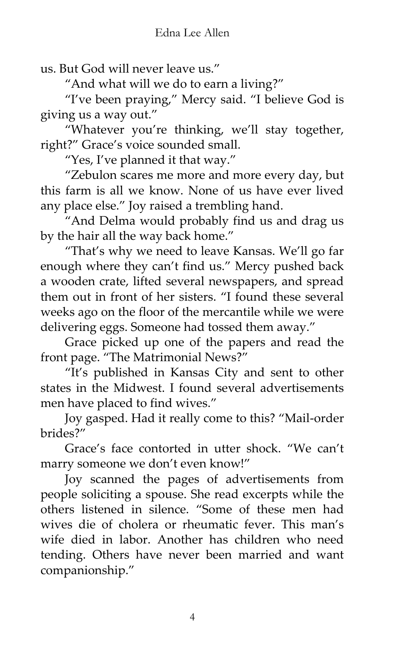us. But God will never leave us.'

'And what will we do to earn a living?'

'I've been praying,' Mercy said. 'I believe God is giving us a way out.'

'Whatever you're thinking, we'll stay together, right?' Grace's voice sounded small.

'Yes, I've planned it that way.'

'Zebulon scares me more and more every day, but this farm is all we know. None of us have ever lived any place else.' Joy raised a trembling hand.

'And Delma would probably find us and drag us by the hair all the way back home.'

'That's why we need to leave Kansas. We'll go far enough where they can't find us.' Mercy pushed back a wooden crate, lifted several newspapers, and spread them out in front of her sisters. 'I found these several weeks ago on the floor of the mercantile while we were delivering eggs. Someone had tossed them away.'

Grace picked up one of the papers and read the front page. 'The Matrimonial News?'

'It's published in Kansas City and sent to other states in the Midwest. I found several advertisements men have placed to find wives.'

Joy gasped. Had it really come to this? 'Mail-order brides?'

Grace's face contorted in utter shock. 'We can't marry someone we don't even know!'

Joy scanned the pages of advertisements from people soliciting a spouse. She read excerpts while the others listened in silence. 'Some of these men had wives die of cholera or rheumatic fever. This man's wife died in labor. Another has children who need tending. Others have never been married and want companionship.'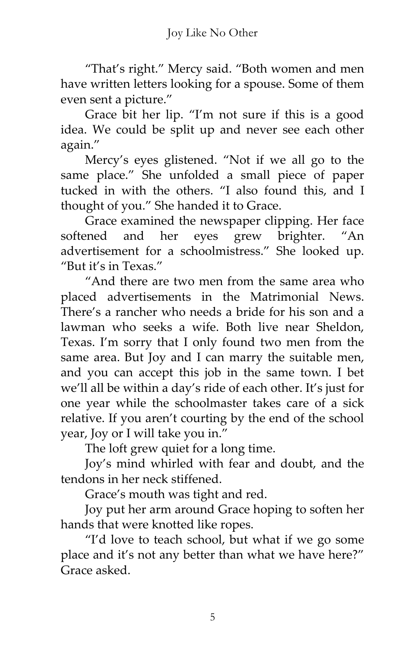'That's right.' Mercy said. 'Both women and men have written letters looking for a spouse. Some of them even sent a picture.'

Grace bit her lip. 'I'm not sure if this is a good idea. We could be split up and never see each other again.'

Mercy's eyes glistened. 'Not if we all go to the same place.' She unfolded a small piece of paper tucked in with the others. 'I also found this, and I thought of you.' She handed it to Grace.

Grace examined the newspaper clipping. Her face softened and her eyes grew brighter. "An advertisement for a schoolmistress.' She looked up. "But it's in Texas"

'And there are two men from the same area who placed advertisements in the Matrimonial News. There's a rancher who needs a bride for his son and a lawman who seeks a wife. Both live near Sheldon, Texas. I'm sorry that I only found two men from the same area. But Joy and I can marry the suitable men, and you can accept this job in the same town. I bet we'll all be within a day's ride of each other. It's just for one year while the schoolmaster takes care of a sick relative. If you aren't courting by the end of the school year, Joy or I will take you in.'

The loft grew quiet for a long time.

Joy's mind whirled with fear and doubt, and the tendons in her neck stiffened.

Grace's mouth was tight and red.

Joy put her arm around Grace hoping to soften her hands that were knotted like ropes.

'I'd love to teach school, but what if we go some place and it's not any better than what we have here?" Grace asked.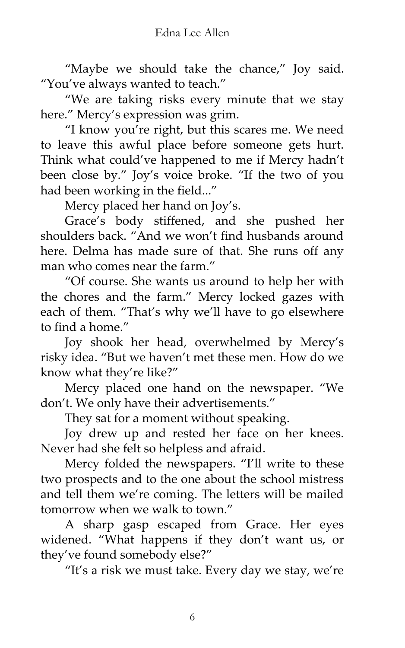"Maybe we should take the chance," Joy said. 'You've always wanted to teach.'

'We are taking risks every minute that we stay here." Mercy's expression was grim.

'I know you're right, but this scares me. We need to leave this awful place before someone gets hurt. Think what could've happened to me if Mercy hadn't been close by.' Joy's voice broke. 'If the two of you had been working in the field...'

Mercy placed her hand on Joy's.

Grace's body stiffened, and she pushed her shoulders back. 'And we won't find husbands around here. Delma has made sure of that. She runs off any man who comes near the farm.'

'Of course. She wants us around to help her with the chores and the farm.' Mercy locked gazes with each of them. 'That's why we'll have to go elsewhere to find a home"

Joy shook her head, overwhelmed by Mercy's risky idea. 'But we haven't met these men. How do we know what they're like?'

Mercy placed one hand on the newspaper. 'We don't. We only have their advertisements.'

They sat for a moment without speaking.

Joy drew up and rested her face on her knees. Never had she felt so helpless and afraid.

Mercy folded the newspapers. 'I'll write to these two prospects and to the one about the school mistress and tell them we're coming. The letters will be mailed tomorrow when we walk to town.'

A sharp gasp escaped from Grace. Her eyes widened. 'What happens if they don't want us, or they've found somebody else?'

'It's a risk we must take. Every day we stay, we're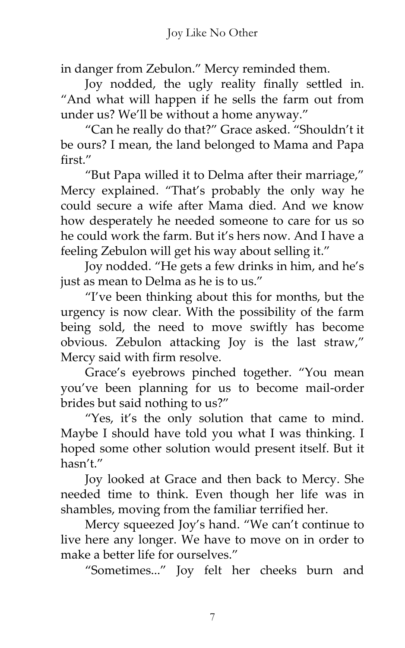in danger from Zebulon.' Mercy reminded them.

Joy nodded, the ugly reality finally settled in. 'And what will happen if he sells the farm out from under us? We'll be without a home anyway.'

'Can he really do that?' Grace asked. 'Shouldn't it be ours? I mean, the land belonged to Mama and Papa first"

'But Papa willed it to Delma after their marriage,' Mercy explained. 'That's probably the only way he could secure a wife after Mama died. And we know how desperately he needed someone to care for us so he could work the farm. But it's hers now. And I have a feeling Zebulon will get his way about selling it.'

Joy nodded. 'He gets a few drinks in him, and he's just as mean to Delma as he is to us."

'I've been thinking about this for months, but the urgency is now clear. With the possibility of the farm being sold, the need to move swiftly has become obvious. Zebulon attacking Joy is the last straw,' Mercy said with firm resolve.

Grace's eyebrows pinched together. 'You mean you've been planning for us to become mail-order brides but said nothing to us?'

'Yes, it's the only solution that came to mind. Maybe I should have told you what I was thinking. I hoped some other solution would present itself. But it hasn't.'

Joy looked at Grace and then back to Mercy. She needed time to think. Even though her life was in shambles, moving from the familiar terrified her.

Mercy squeezed Joy's hand. 'We can't continue to live here any longer. We have to move on in order to make a better life for ourselves."

'Sometimes...' Joy felt her cheeks burn and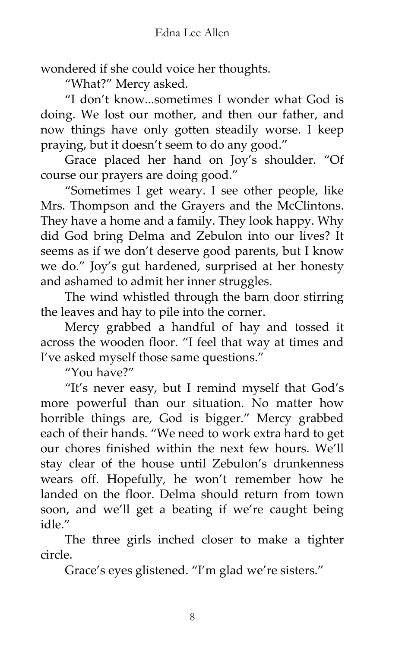wondered if she could voice her thoughts.

'What?' Mercy asked.

'I don't know...sometimes I wonder what God is doing. We lost our mother, and then our father, and now things have only gotten steadily worse. I keep praying, but it doesn't seem to do any good.'

Grace placed her hand on Joy's shoulder. 'Of course our prayers are doing good.'

'Sometimes I get weary. I see other people, like Mrs. Thompson and the Grayers and the McClintons. They have a home and a family. They look happy. Why did God bring Delma and Zebulon into our lives? It seems as if we don't deserve good parents, but I know we do.' Joy's gut hardened, surprised at her honesty and ashamed to admit her inner struggles.

The wind whistled through the barn door stirring the leaves and hay to pile into the corner.

Mercy grabbed a handful of hay and tossed it across the wooden floor. 'I feel that way at times and I've asked myself those same questions.'

'You have?'

'It's never easy, but I remind myself that God's more powerful than our situation. No matter how horrible things are, God is bigger.' Mercy grabbed each of their hands. 'We need to work extra hard to get our chores finished within the next few hours. We'll stay clear of the house until Zebulon's drunkenness wears off. Hopefully, he won't remember how he landed on the floor. Delma should return from town soon, and we'll get a beating if we're caught being idle"

The three girls inched closer to make a tighter circle.

Grace's eyes glistened. 'I'm glad we're sisters.'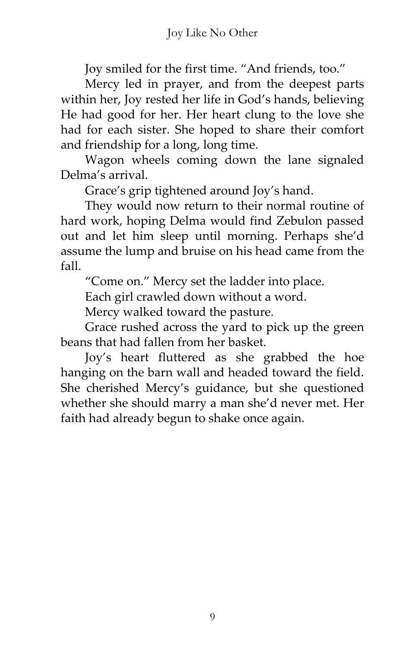Joy smiled for the first time. 'And friends, too.'

Mercy led in prayer, and from the deepest parts within her, Joy rested her life in God's hands, believing He had good for her. Her heart clung to the love she had for each sister. She hoped to share their comfort and friendship for a long, long time.

Wagon wheels coming down the lane signaled Delma's arrival.

Grace's grip tightened around Joy's hand.

They would now return to their normal routine of hard work, hoping Delma would find Zebulon passed out and let him sleep until morning. Perhaps she'd assume the lump and bruise on his head came from the fall.

'Come on.' Mercy set the ladder into place.

Each girl crawled down without a word.

Mercy walked toward the pasture.

Grace rushed across the yard to pick up the green beans that had fallen from her basket.

Joy's heart fluttered as she grabbed the hoe hanging on the barn wall and headed toward the field. She cherished Mercy's guidance, but she questioned whether she should marry a man she'd never met. Her faith had already begun to shake once again.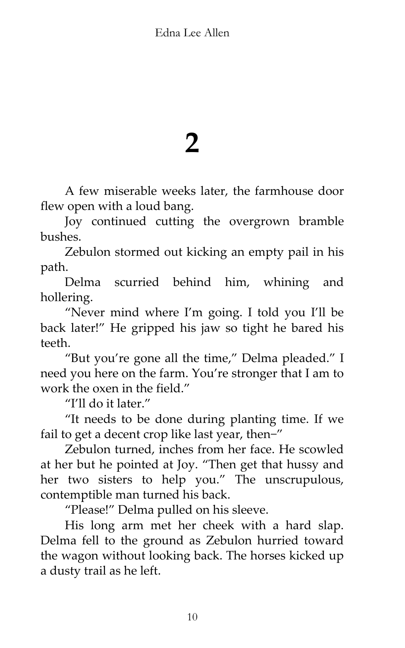### **2**

A few miserable weeks later, the farmhouse door flew open with a loud bang.

Joy continued cutting the overgrown bramble bushes.

Zebulon stormed out kicking an empty pail in his path.

Delma scurried behind him, whining and hollering.

'Never mind where I'm going. I told you I'll be back later!' He gripped his jaw so tight he bared his teeth.

'But you're gone all the time,' Delma pleaded.' I need you here on the farm. You're stronger that I am to work the oxen in the field.'

"I'll do it later."

'It needs to be done during planting time. If we fail to get a decent crop like last year, then-"

Zebulon turned, inches from her face. He scowled at her but he pointed at Joy. 'Then get that hussy and her two sisters to help you.' The unscrupulous, contemptible man turned his back.

'Please!' Delma pulled on his sleeve.

His long arm met her cheek with a hard slap. Delma fell to the ground as Zebulon hurried toward the wagon without looking back. The horses kicked up a dusty trail as he left.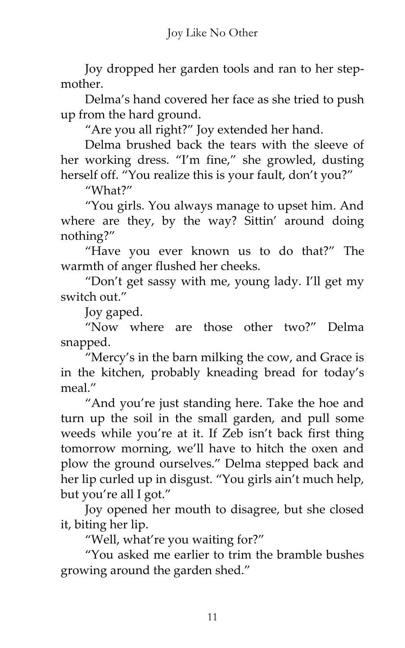Joy dropped her garden tools and ran to her stepmother.

Delma's hand covered her face as she tried to push up from the hard ground.

'Are you all right?' Joy extended her hand.

Delma brushed back the tears with the sleeve of her working dress. 'I'm fine,' she growled, dusting herself off. "You realize this is your fault, don't you?"

'What?'

'You girls. You always manage to upset him. And where are they, by the way? Sittin' around doing nothing?'

'Have you ever known us to do that?' The warmth of anger flushed her cheeks.

'Don't get sassy with me, young lady. I'll get my switch out"

Joy gaped.

'Now where are those other two?' Delma snapped.

'Mercy's in the barn milking the cow, and Grace is in the kitchen, probably kneading bread for today's meal"

'And you're just standing here. Take the hoe and turn up the soil in the small garden, and pull some weeds while you're at it. If Zeb isn't back first thing tomorrow morning, we'll have to hitch the oxen and plow the ground ourselves.' Delma stepped back and her lip curled up in disgust. 'You girls ain't much help, but you're all I got."

Joy opened her mouth to disagree, but she closed it, biting her lip.

'Well, what're you waiting for?'

'You asked me earlier to trim the bramble bushes growing around the garden shed.'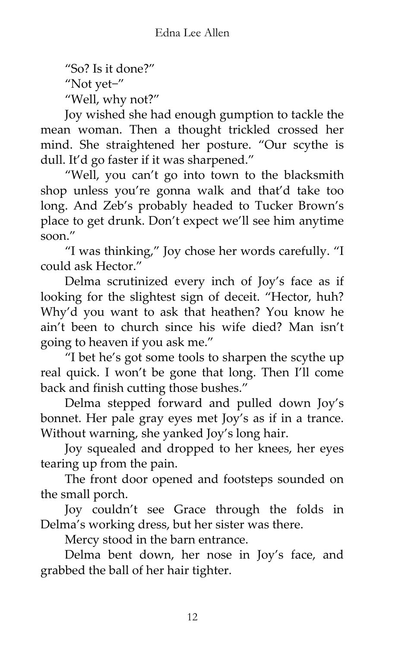'So? Is it done?'

'Not yet−'

'Well, why not?'

Joy wished she had enough gumption to tackle the mean woman. Then a thought trickled crossed her mind. She straightened her posture. 'Our scythe is dull. It'd go faster if it was sharpened.'

'Well, you can't go into town to the blacksmith shop unless you're gonna walk and that'd take too long. And Zeb's probably headed to Tucker Brown's place to get drunk. Don't expect we'll see him anytime soon $''$ 

'I was thinking,' Joy chose her words carefully. 'I could ask Hector.'

Delma scrutinized every inch of Joy's face as if looking for the slightest sign of deceit. 'Hector, huh? Why'd you want to ask that heathen? You know he ain't been to church since his wife died? Man isn't going to heaven if you ask me.'

'I bet he's got some tools to sharpen the scythe up real quick. I won't be gone that long. Then I'll come back and finish cutting those bushes."

Delma stepped forward and pulled down Joy's bonnet. Her pale gray eyes met Joy's as if in a trance. Without warning, she yanked Joy's long hair.

Joy squealed and dropped to her knees, her eyes tearing up from the pain.

The front door opened and footsteps sounded on the small porch.

Joy couldn't see Grace through the folds in Delma's working dress, but her sister was there.

Mercy stood in the barn entrance.

Delma bent down, her nose in Joy's face, and grabbed the ball of her hair tighter.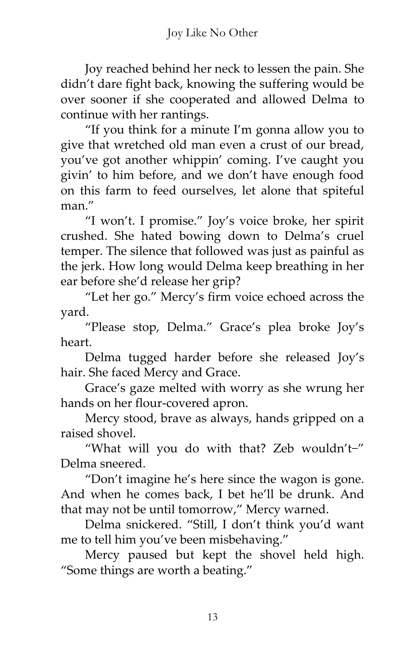Joy reached behind her neck to lessen the pain. She didn't dare fight back, knowing the suffering would be over sooner if she cooperated and allowed Delma to continue with her rantings.

'If you think for a minute I'm gonna allow you to give that wretched old man even a crust of our bread, you've got another whippin' coming. I've caught you givin' to him before, and we don't have enough food on this farm to feed ourselves, let alone that spiteful man"

'I won't. I promise.' Joy's voice broke, her spirit crushed. She hated bowing down to Delma's cruel temper. The silence that followed was just as painful as the jerk. How long would Delma keep breathing in her ear before she'd release her grip?

'Let her go.' Mercy's firm voice echoed across the yard.

'Please stop, Delma.' Grace's plea broke Joy's heart.

Delma tugged harder before she released Joy's hair. She faced Mercy and Grace.

Grace's gaze melted with worry as she wrung her hands on her flour-covered apron.

Mercy stood, brave as always, hands gripped on a raised shovel.

'What will you do with that? Zeb wouldn't−' Delma sneered.

'Don't imagine he's here since the wagon is gone. And when he comes back, I bet he'll be drunk. And that may not be until tomorrow,' Mercy warned.

Delma snickered. 'Still, I don't think you'd want me to tell him you've been misbehaving.'

Mercy paused but kept the shovel held high. 'Some things are worth a beating.'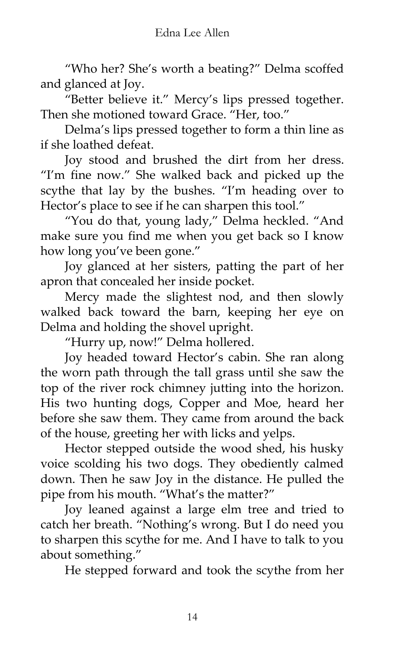'Who her? She's worth a beating?' Delma scoffed and glanced at Joy.

'Better believe it.' Mercy's lips pressed together. Then she motioned toward Grace. "Her, too."

Delma's lips pressed together to form a thin line as if she loathed defeat.

Joy stood and brushed the dirt from her dress. 'I'm fine now.' She walked back and picked up the scythe that lay by the bushes. 'I'm heading over to Hector's place to see if he can sharpen this tool."

'You do that, young lady,' Delma heckled. 'And make sure you find me when you get back so I know how long you've been gone.'

Joy glanced at her sisters, patting the part of her apron that concealed her inside pocket.

Mercy made the slightest nod, and then slowly walked back toward the barn, keeping her eye on Delma and holding the shovel upright.

'Hurry up, now!' Delma hollered.

Joy headed toward Hector's cabin. She ran along the worn path through the tall grass until she saw the top of the river rock chimney jutting into the horizon. His two hunting dogs, Copper and Moe, heard her before she saw them. They came from around the back of the house, greeting her with licks and yelps.

Hector stepped outside the wood shed, his husky voice scolding his two dogs. They obediently calmed down. Then he saw Joy in the distance. He pulled the pipe from his mouth. 'What's the matter?'

Joy leaned against a large elm tree and tried to catch her breath. 'Nothing's wrong. But I do need you to sharpen this scythe for me. And I have to talk to you about something.'

He stepped forward and took the scythe from her